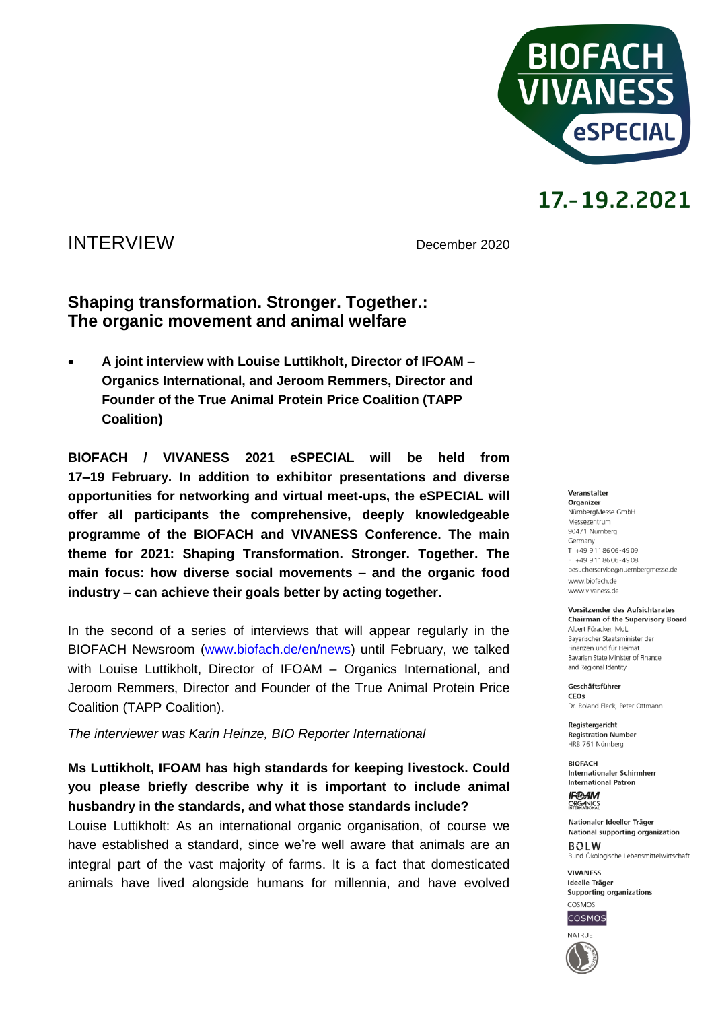

### INTERVIEW December <sup>2020</sup>

### **Shaping transformation. Stronger. Together.: The organic movement and animal welfare**

 **A joint interview with Louise Luttikholt, Director of IFOAM – Organics International, and Jeroom Remmers, Director and Founder of the True Animal Protein Price Coalition (TAPP Coalition)**

**BIOFACH / VIVANESS 2021 eSPECIAL will be held from 17–19 February. In addition to exhibitor presentations and diverse opportunities for networking and virtual meet-ups, the eSPECIAL will offer all participants the comprehensive, deeply knowledgeable programme of the BIOFACH and VIVANESS Conference. The main theme for 2021: Shaping Transformation. Stronger. Together. The main focus: how diverse social movements – and the organic food industry – can achieve their goals better by acting together.** 

In the second of a series of interviews that will appear regularly in the BIOFACH Newsroom [\(www.biofach.de/en/news\)](http://www.biofach.de/en/news) until February, we talked with Louise Luttikholt, Director of IFOAM – Organics International, and Jeroom Remmers, Director and Founder of the True Animal Protein Price Coalition (TAPP Coalition).

*The interviewer was Karin Heinze, BIO Reporter International*

**Ms Luttikholt, IFOAM has high standards for keeping livestock. Could you please briefly describe why it is important to include animal husbandry in the standards, and what those standards include?**

Louise Luttikholt: As an international organic organisation, of course we have established a standard, since we're well aware that animals are an integral part of the vast majority of farms. It is a fact that domesticated animals have lived alongside humans for millennia, and have evolved

#### Veranstalter Organizer NürnbergMesse GmbH Messezentrum 90471 Nürnberg Germany  $T + 499118606 - 4909$ F +49 9 11 86 06 - 49 08 besucherservice@nuernbergmesse.de www.biofach.de www.vivaness.de

Vorsitzender des Aufsichtsrates **Chairman of the Supervisory Board** Albert Füracker, MdL Bayerischer Staatsminister der Finanzen und für Heimat

Bavarian State Minister of Finance and Regional Identity Geschäftsführer

CEOS Dr. Roland Eleck, Peter Ottmann

**Registergericht Registration Number** HRB 761 Nürnberg

**BIOFACH** Internationaler Schirmherr **International Patron** 

**IF®AM** ORGANICS

Nationaler Ideeller Träger National supporting organization  $ROIM$ Bund Ökologische Lebensmittelwirtschaft

**VIVANESS** Ideelle Träger Supporting organizations



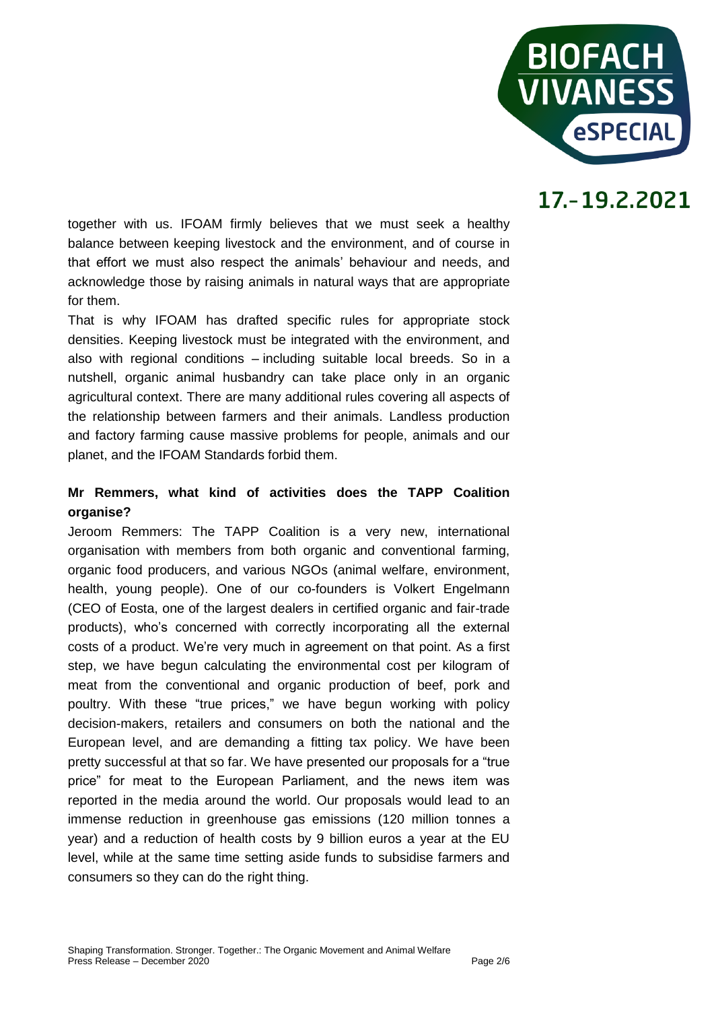

together with us. IFOAM firmly believes that we must seek a healthy balance between keeping livestock and the environment, and of course in that effort we must also respect the animals' behaviour and needs, and acknowledge those by raising animals in natural ways that are appropriate for them.

That is why IFOAM has drafted specific rules for appropriate stock densities. Keeping livestock must be integrated with the environment, and also with regional conditions – including suitable local breeds. So in a nutshell, organic animal husbandry can take place only in an organic agricultural context. There are many additional rules covering all aspects of the relationship between farmers and their animals. Landless production and factory farming cause massive problems for people, animals and our planet, and the IFOAM Standards forbid them.

#### **Mr Remmers, what kind of activities does the TAPP Coalition organise?**

Jeroom Remmers: The TAPP Coalition is a very new, international organisation with members from both organic and conventional farming, organic food producers, and various NGOs (animal welfare, environment, health, young people). One of our co-founders is Volkert Engelmann (CEO of Eosta, one of the largest dealers in certified organic and fair-trade products), who's concerned with correctly incorporating all the external costs of a product. We're very much in agreement on that point. As a first step, we have begun calculating the environmental cost per kilogram of meat from the conventional and organic production of beef, pork and poultry. With these "true prices," we have begun working with policy decision-makers, retailers and consumers on both the national and the European level, and are demanding a fitting tax policy. We have been pretty successful at that so far. We have presented our proposals for a "true price" for meat to the European Parliament, and the news item was reported in the media around the world. Our proposals would lead to an immense reduction in greenhouse gas emissions (120 million tonnes a year) and a reduction of health costs by 9 billion euros a year at the EU level, while at the same time setting aside funds to subsidise farmers and consumers so they can do the right thing.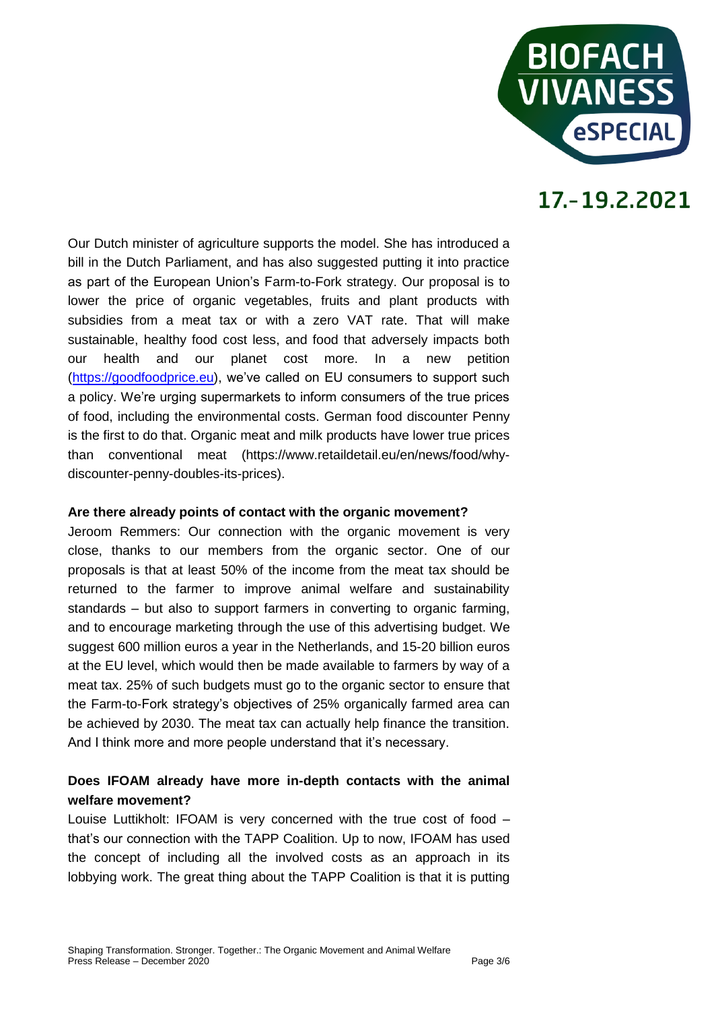

Our Dutch minister of agriculture supports the model. She has introduced a bill in the Dutch Parliament, and has also suggested putting it into practice as part of the European Union's Farm-to-Fork strategy. Our proposal is to lower the price of organic vegetables, fruits and plant products with subsidies from a meat tax or with a zero VAT rate. That will make sustainable, healthy food cost less, and food that adversely impacts both our health and our planet cost more. In a new petition [\(https://goodfoodprice.eu\)](https://goodfoodprice.eu/), we've called on EU consumers to support such a policy. We're urging supermarkets to inform consumers of the true prices of food, including the environmental costs. German food discounter Penny is the first to do that. Organic meat and milk products have lower true prices than conventional meat (https://www.retaildetail.eu/en/news/food/whydiscounter-penny-doubles-its-prices).

#### **Are there already points of contact with the organic movement?**

Jeroom Remmers: Our connection with the organic movement is very close, thanks to our members from the organic sector. One of our proposals is that at least 50% of the income from the meat tax should be returned to the farmer to improve animal welfare and sustainability standards – but also to support farmers in converting to organic farming, and to encourage marketing through the use of this advertising budget. We suggest 600 million euros a year in the Netherlands, and 15-20 billion euros at the EU level, which would then be made available to farmers by way of a meat tax. 25% of such budgets must go to the organic sector to ensure that the Farm-to-Fork strategy's objectives of 25% organically farmed area can be achieved by 2030. The meat tax can actually help finance the transition. And I think more and more people understand that it's necessary.

#### **Does IFOAM already have more in-depth contacts with the animal welfare movement?**

Louise Luttikholt: IFOAM is very concerned with the true cost of food – that's our connection with the TAPP Coalition. Up to now, IFOAM has used the concept of including all the involved costs as an approach in its lobbying work. The great thing about the TAPP Coalition is that it is putting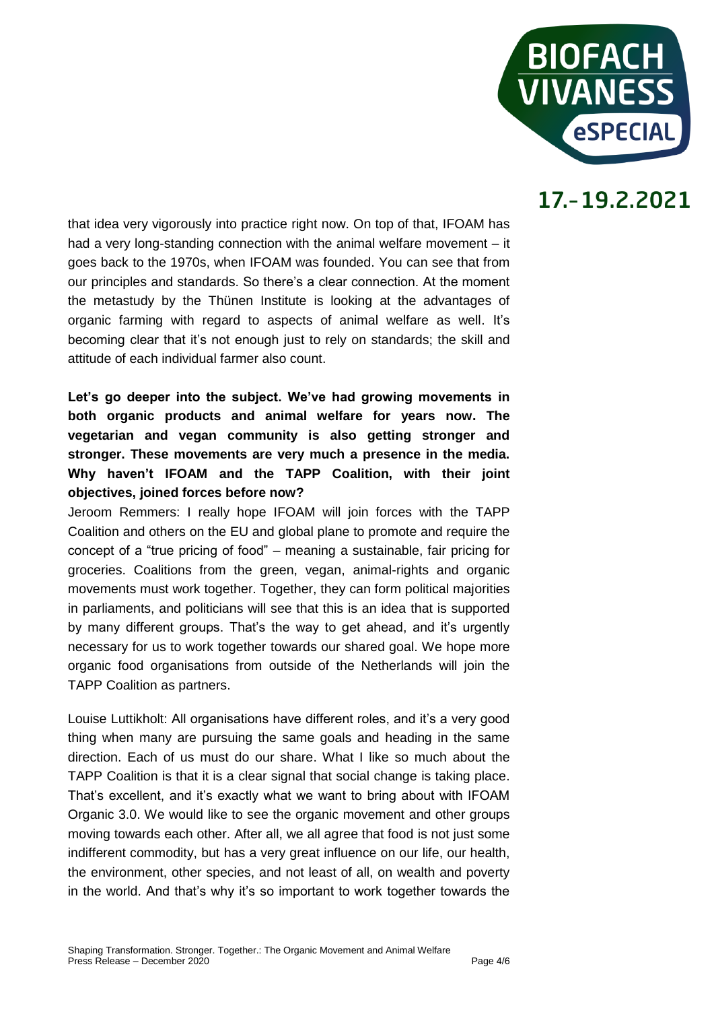

that idea very vigorously into practice right now. On top of that, IFOAM has had a very long-standing connection with the animal welfare movement – it goes back to the 1970s, when IFOAM was founded. You can see that from our principles and standards. So there's a clear connection. At the moment the metastudy by the Thünen Institute is looking at the advantages of organic farming with regard to aspects of animal welfare as well. It's becoming clear that it's not enough just to rely on standards; the skill and attitude of each individual farmer also count.

**Let's go deeper into the subject. We've had growing movements in both organic products and animal welfare for years now. The vegetarian and vegan community is also getting stronger and stronger. These movements are very much a presence in the media. Why haven't IFOAM and the TAPP Coalition, with their joint objectives, joined forces before now?** 

Jeroom Remmers: I really hope IFOAM will join forces with the TAPP Coalition and others on the EU and global plane to promote and require the concept of a "true pricing of food" – meaning a sustainable, fair pricing for groceries. Coalitions from the green, vegan, animal-rights and organic movements must work together. Together, they can form political majorities in parliaments, and politicians will see that this is an idea that is supported by many different groups. That's the way to get ahead, and it's urgently necessary for us to work together towards our shared goal. We hope more organic food organisations from outside of the Netherlands will join the TAPP Coalition as partners.

Louise Luttikholt: All organisations have different roles, and it's a very good thing when many are pursuing the same goals and heading in the same direction. Each of us must do our share. What I like so much about the TAPP Coalition is that it is a clear signal that social change is taking place. That's excellent, and it's exactly what we want to bring about with IFOAM Organic 3.0. We would like to see the organic movement and other groups moving towards each other. After all, we all agree that food is not just some indifferent commodity, but has a very great influence on our life, our health, the environment, other species, and not least of all, on wealth and poverty in the world. And that's why it's so important to work together towards the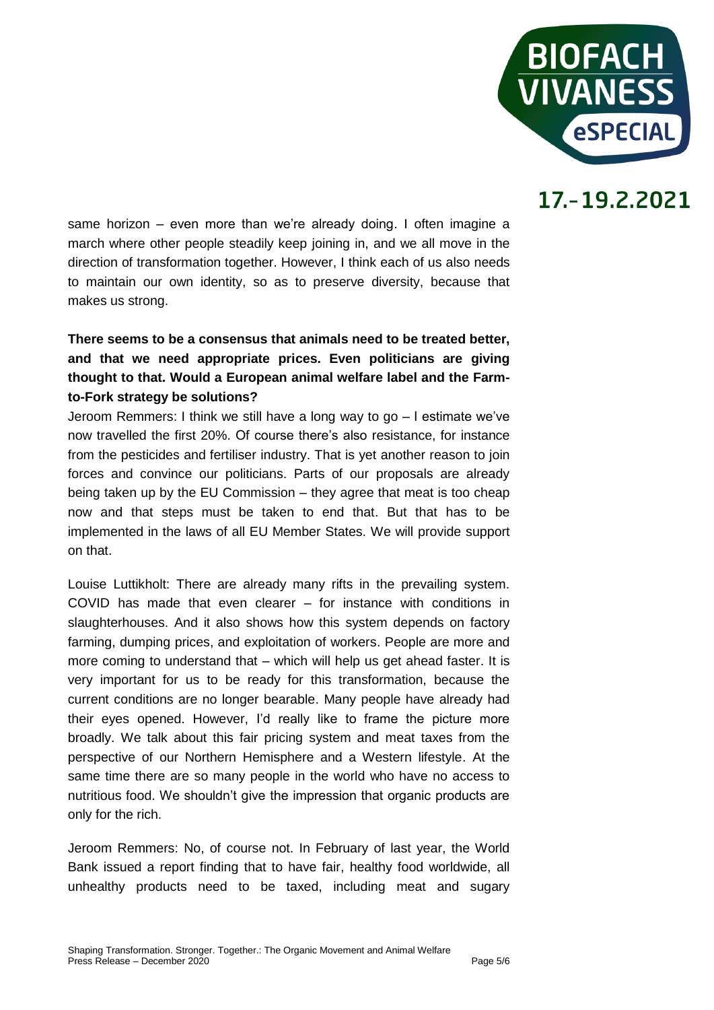

same horizon – even more than we're already doing. I often imagine a march where other people steadily keep joining in, and we all move in the direction of transformation together. However, I think each of us also needs to maintain our own identity, so as to preserve diversity, because that makes us strong.

#### **There seems to be a consensus that animals need to be treated better, and that we need appropriate prices. Even politicians are giving thought to that. Would a European animal welfare label and the Farmto-Fork strategy be solutions?**

Jeroom Remmers: I think we still have a long way to go – I estimate we've now travelled the first 20%. Of course there's also resistance, for instance from the pesticides and fertiliser industry. That is yet another reason to join forces and convince our politicians. Parts of our proposals are already being taken up by the EU Commission – they agree that meat is too cheap now and that steps must be taken to end that. But that has to be implemented in the laws of all EU Member States. We will provide support on that.

Louise Luttikholt: There are already many rifts in the prevailing system. COVID has made that even clearer – for instance with conditions in slaughterhouses. And it also shows how this system depends on factory farming, dumping prices, and exploitation of workers. People are more and more coming to understand that – which will help us get ahead faster. It is very important for us to be ready for this transformation, because the current conditions are no longer bearable. Many people have already had their eyes opened. However, I'd really like to frame the picture more broadly. We talk about this fair pricing system and meat taxes from the perspective of our Northern Hemisphere and a Western lifestyle. At the same time there are so many people in the world who have no access to nutritious food. We shouldn't give the impression that organic products are only for the rich.

Jeroom Remmers: No, of course not. In February of last year, the World Bank issued a report finding that to have fair, healthy food worldwide, all unhealthy products need to be taxed, including meat and sugary